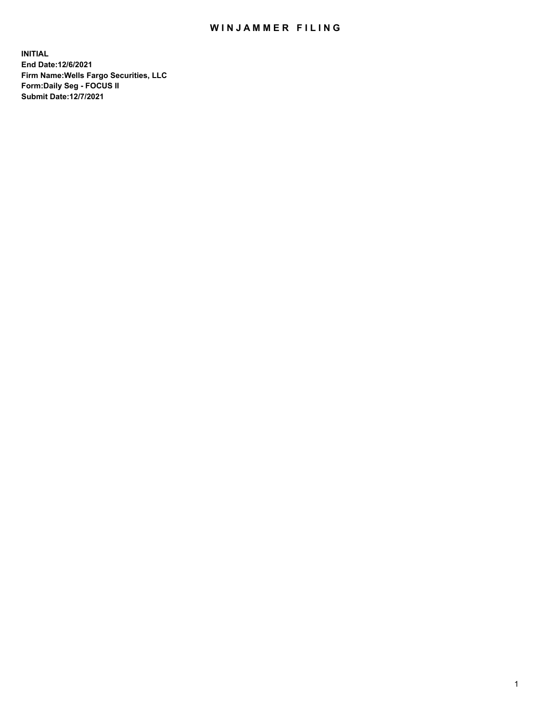## WIN JAMMER FILING

**INITIAL End Date:12/6/2021 Firm Name:Wells Fargo Securities, LLC Form:Daily Seg - FOCUS II Submit Date:12/7/2021**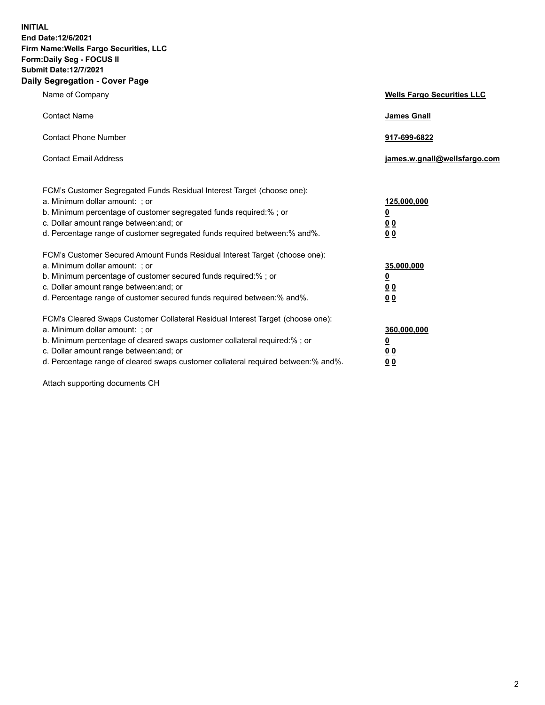**INITIAL End Date:12/6/2021 Firm Name:Wells Fargo Securities, LLC Form:Daily Seg - FOCUS II Submit Date:12/7/2021 Daily Segregation - Cover Page**

| Name of Company                                                                                                                                                                                                                                                                                                                | <b>Wells Fargo Securities LLC</b>                          |
|--------------------------------------------------------------------------------------------------------------------------------------------------------------------------------------------------------------------------------------------------------------------------------------------------------------------------------|------------------------------------------------------------|
| <b>Contact Name</b>                                                                                                                                                                                                                                                                                                            | <b>James Gnall</b>                                         |
| <b>Contact Phone Number</b>                                                                                                                                                                                                                                                                                                    | 917-699-6822                                               |
| <b>Contact Email Address</b>                                                                                                                                                                                                                                                                                                   | james.w.gnall@wellsfargo.com                               |
| FCM's Customer Segregated Funds Residual Interest Target (choose one):<br>a. Minimum dollar amount: ; or<br>b. Minimum percentage of customer segregated funds required:% ; or<br>c. Dollar amount range between: and; or<br>d. Percentage range of customer segregated funds required between:% and%.                         | 125,000,000<br><u>0</u><br>0 <sub>0</sub><br>00            |
| FCM's Customer Secured Amount Funds Residual Interest Target (choose one):<br>a. Minimum dollar amount: ; or<br>b. Minimum percentage of customer secured funds required:%; or<br>c. Dollar amount range between: and; or<br>d. Percentage range of customer secured funds required between:% and%.                            | 35,000,000<br><u>0</u><br>0 <sub>0</sub><br>0 <sub>0</sub> |
| FCM's Cleared Swaps Customer Collateral Residual Interest Target (choose one):<br>a. Minimum dollar amount: ; or<br>b. Minimum percentage of cleared swaps customer collateral required:% ; or<br>c. Dollar amount range between: and; or<br>d. Percentage range of cleared swaps customer collateral required between:% and%. | 360,000,000<br><u>0</u><br>00<br>00                        |

Attach supporting documents CH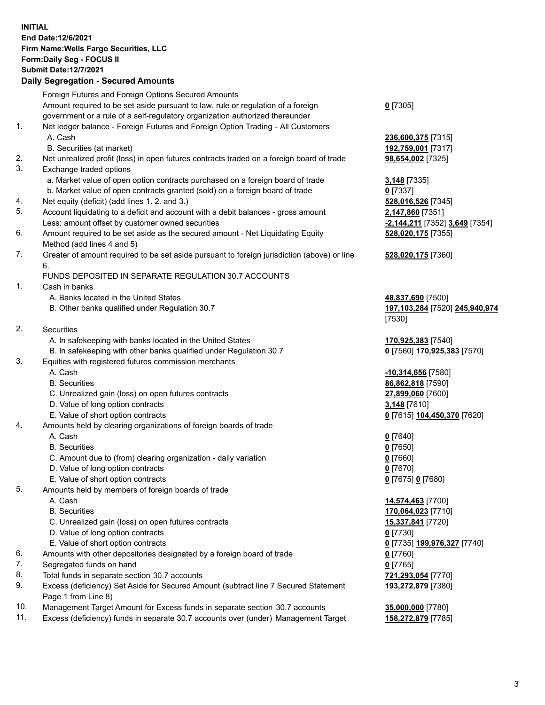**INITIAL End Date:12/6/2021 Firm Name:Wells Fargo Securities, LLC Form:Daily Seg - FOCUS II Submit Date:12/7/2021**

## **Daily Segregation - Secured Amounts**

|     | Foreign Futures and Foreign Options Secured Amounts                                                        |                                |
|-----|------------------------------------------------------------------------------------------------------------|--------------------------------|
|     | Amount required to be set aside pursuant to law, rule or regulation of a foreign                           | $0$ [7305]                     |
|     | government or a rule of a self-regulatory organization authorized thereunder                               |                                |
| 1.  | Net ledger balance - Foreign Futures and Foreign Option Trading - All Customers                            |                                |
|     | A. Cash                                                                                                    | 236,600,375 [7315]             |
|     | B. Securities (at market)                                                                                  | 192,759,001 [7317]             |
| 2.  | Net unrealized profit (loss) in open futures contracts traded on a foreign board of trade                  | 98,654,002 [7325]              |
| 3.  | Exchange traded options                                                                                    |                                |
|     | a. Market value of open option contracts purchased on a foreign board of trade                             | 3,148 [7335]                   |
|     | b. Market value of open contracts granted (sold) on a foreign board of trade                               | $0$ [7337]                     |
| 4.  | Net equity (deficit) (add lines 1. 2. and 3.)                                                              | 528,016,526 [7345]             |
| 5.  | Account liquidating to a deficit and account with a debit balances - gross amount                          | 2,147,860 [7351]               |
|     | Less: amount offset by customer owned securities                                                           | -2,144,211 [7352] 3,649 [7354] |
| 6.  | Amount required to be set aside as the secured amount - Net Liquidating Equity                             | 528,020,175 [7355]             |
|     | Method (add lines 4 and 5)                                                                                 |                                |
| 7.  | Greater of amount required to be set aside pursuant to foreign jurisdiction (above) or line                | 528,020,175 [7360]             |
|     | 6.                                                                                                         |                                |
|     | FUNDS DEPOSITED IN SEPARATE REGULATION 30.7 ACCOUNTS                                                       |                                |
| 1.  | Cash in banks                                                                                              |                                |
|     | A. Banks located in the United States                                                                      | 48,837,690 [7500]              |
|     | B. Other banks qualified under Regulation 30.7                                                             | 197,103,284 [7520] 245,940,974 |
|     |                                                                                                            | [7530]                         |
| 2.  | <b>Securities</b>                                                                                          |                                |
|     | A. In safekeeping with banks located in the United States                                                  | 170,925,383 [7540]             |
|     | B. In safekeeping with other banks qualified under Regulation 30.7                                         | 0 [7560] 170,925,383 [7570]    |
| 3.  | Equities with registered futures commission merchants                                                      |                                |
|     | A. Cash                                                                                                    | -10,314,656 [7580]             |
|     | <b>B.</b> Securities                                                                                       | 86,862,818 [7590]              |
|     | C. Unrealized gain (loss) on open futures contracts                                                        | 27,899,060 [7600]              |
|     | D. Value of long option contracts                                                                          | 3,148 [7610]                   |
|     | E. Value of short option contracts                                                                         | 0 [7615] 104,450,370 [7620]    |
| 4.  | Amounts held by clearing organizations of foreign boards of trade                                          |                                |
|     | A. Cash                                                                                                    | $0$ [7640]                     |
|     | <b>B.</b> Securities                                                                                       | $0$ [7650]                     |
|     | C. Amount due to (from) clearing organization - daily variation                                            | $0$ [7660]                     |
|     | D. Value of long option contracts                                                                          | $0$ [7670]                     |
|     | E. Value of short option contracts                                                                         | 0 [7675] 0 [7680]              |
| 5.  | Amounts held by members of foreign boards of trade                                                         |                                |
|     | A. Cash                                                                                                    | 14,574,463 [7700]              |
|     | <b>B.</b> Securities                                                                                       | 170,064,023 [7710]             |
|     | C. Unrealized gain (loss) on open futures contracts                                                        | <u>15,337,841</u> [7720]       |
|     | D. Value of long option contracts                                                                          | $0$ [7730]                     |
|     | E. Value of short option contracts                                                                         | 0 [7735] 199,976,327 [7740]    |
| 6.  | Amounts with other depositories designated by a foreign board of trade                                     | $0$ [7760]                     |
| 7.  | Segregated funds on hand                                                                                   | $0$ [7765]                     |
| 8.  | Total funds in separate section 30.7 accounts                                                              | 721,293,054 [7770]             |
| 9.  | Excess (deficiency) Set Aside for Secured Amount (subtract line 7 Secured Statement<br>Page 1 from Line 8) | 193,272,879 [7380]             |
| 10. | Management Target Amount for Excess funds in separate section 30.7 accounts                                | 35,000,000 [7780]              |

11. Excess (deficiency) funds in separate 30.7 accounts over (under) Management Target **158,272,879** [7785]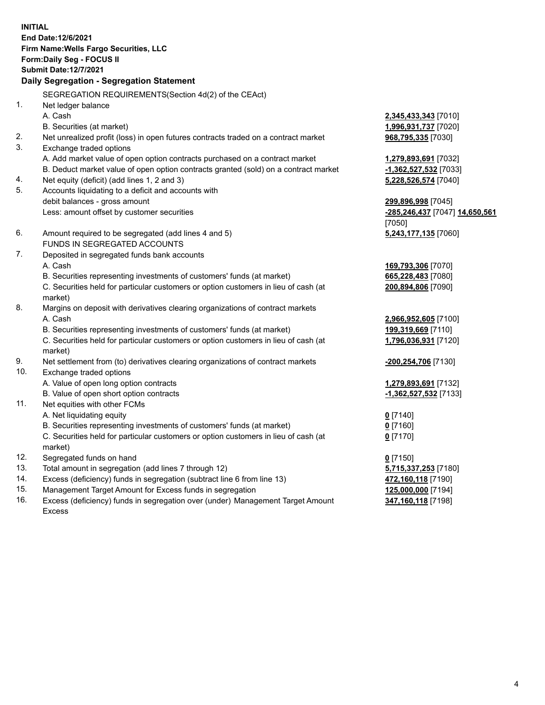**INITIAL End Date:12/6/2021 Firm Name:Wells Fargo Securities, LLC Form:Daily Seg - FOCUS II Submit Date:12/7/2021**

## **Daily Segregation - Segregation Statement**

SEGREGATION REQUIREMENTS(Section 4d(2) of the CEAct)

| 1.  | Net ledger balance                                                                  |                                |
|-----|-------------------------------------------------------------------------------------|--------------------------------|
|     | A. Cash                                                                             | 2,345,433,343 [7010]           |
|     | B. Securities (at market)                                                           | 1,996,931,737 [7020]           |
| 2.  | Net unrealized profit (loss) in open futures contracts traded on a contract market  | 968,795,335 [7030]             |
| 3.  | Exchange traded options                                                             |                                |
|     | A. Add market value of open option contracts purchased on a contract market         | 1,279,893,691 [7032]           |
|     | B. Deduct market value of open option contracts granted (sold) on a contract market | -1,362,527,532 [7033]          |
| 4.  | Net equity (deficit) (add lines 1, 2 and 3)                                         | 5,228,526,574 [7040]           |
| 5.  | Accounts liquidating to a deficit and accounts with                                 |                                |
|     | debit balances - gross amount                                                       | 299,896,998 [7045]             |
|     | Less: amount offset by customer securities                                          | -285,246,437 [7047] 14,650,561 |
|     |                                                                                     | [7050]                         |
| 6.  | Amount required to be segregated (add lines 4 and 5)                                | 5,243,177,135 [7060]           |
|     | FUNDS IN SEGREGATED ACCOUNTS                                                        |                                |
| 7.  | Deposited in segregated funds bank accounts                                         |                                |
|     | A. Cash                                                                             | 169,793,306 [7070]             |
|     | B. Securities representing investments of customers' funds (at market)              | 665,228,483 [7080]             |
|     | C. Securities held for particular customers or option customers in lieu of cash (at | 200,894,806 [7090]             |
|     | market)                                                                             |                                |
| 8.  | Margins on deposit with derivatives clearing organizations of contract markets      |                                |
|     | A. Cash                                                                             | 2,966,952,605 [7100]           |
|     | B. Securities representing investments of customers' funds (at market)              | 199,319,669 [7110]             |
|     | C. Securities held for particular customers or option customers in lieu of cash (at | 1,796,036,931 [7120]           |
|     | market)                                                                             |                                |
| 9.  | Net settlement from (to) derivatives clearing organizations of contract markets     | -200,254,706 [7130]            |
| 10. | Exchange traded options                                                             |                                |
|     | A. Value of open long option contracts                                              | 1,279,893,691 [7132]           |
|     | B. Value of open short option contracts                                             | -1,362,527,532 [7133]          |
| 11. | Net equities with other FCMs                                                        |                                |
|     | A. Net liquidating equity                                                           | $0$ [7140]                     |
|     | B. Securities representing investments of customers' funds (at market)              | $0$ [7160]                     |
|     | C. Securities held for particular customers or option customers in lieu of cash (at | $0$ [7170]                     |
|     | market)                                                                             |                                |
| 12. | Segregated funds on hand                                                            | $0$ [7150]                     |
| 13. | Total amount in segregation (add lines 7 through 12)                                | 5,715,337,253 [7180]           |
| 14. | Excess (deficiency) funds in segregation (subtract line 6 from line 13)             | 472,160,118 [7190]             |
| 15. | Management Target Amount for Excess funds in segregation                            | 125,000,000 [7194]             |
| 16. | Excess (deficiency) funds in segregation over (under) Management Target Amount      | 347,160,118 [7198]             |
|     | Excess                                                                              |                                |